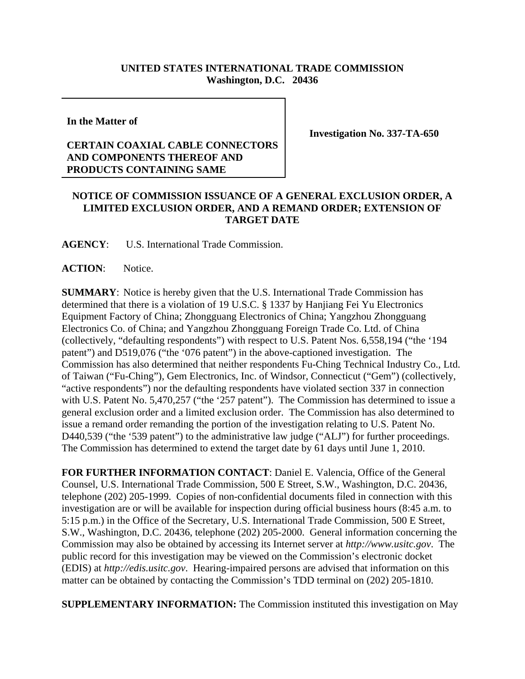## **UNITED STATES INTERNATIONAL TRADE COMMISSION Washington, D.C. 20436**

**In the Matter of** 

## **CERTAIN COAXIAL CABLE CONNECTORS AND COMPONENTS THEREOF AND PRODUCTS CONTAINING SAME**

**Investigation No. 337-TA-650**

## **NOTICE OF COMMISSION ISSUANCE OF A GENERAL EXCLUSION ORDER, A LIMITED EXCLUSION ORDER, AND A REMAND ORDER; EXTENSION OF TARGET DATE**

**AGENCY**: U.S. International Trade Commission.

ACTION: Notice.

**SUMMARY**: Notice is hereby given that the U.S. International Trade Commission has determined that there is a violation of 19 U.S.C. § 1337 by Hanjiang Fei Yu Electronics Equipment Factory of China; Zhongguang Electronics of China; Yangzhou Zhongguang Electronics Co. of China; and Yangzhou Zhongguang Foreign Trade Co. Ltd. of China (collectively, "defaulting respondents") with respect to U.S. Patent Nos. 6,558,194 ("the '194 patent") and D519,076 ("the '076 patent") in the above-captioned investigation. The Commission has also determined that neither respondents Fu-Ching Technical Industry Co., Ltd. of Taiwan ("Fu-Ching"), Gem Electronics, Inc. of Windsor, Connecticut ("Gem") (collectively, "active respondents") nor the defaulting respondents have violated section 337 in connection with U.S. Patent No. 5,470,257 ("the '257 patent"). The Commission has determined to issue a general exclusion order and a limited exclusion order. The Commission has also determined to issue a remand order remanding the portion of the investigation relating to U.S. Patent No. D440,539 ("the '539 patent") to the administrative law judge ("ALJ") for further proceedings. The Commission has determined to extend the target date by 61 days until June 1, 2010.

**FOR FURTHER INFORMATION CONTACT**: Daniel E. Valencia, Office of the General Counsel, U.S. International Trade Commission, 500 E Street, S.W., Washington, D.C. 20436, telephone (202) 205-1999. Copies of non-confidential documents filed in connection with this investigation are or will be available for inspection during official business hours (8:45 a.m. to 5:15 p.m.) in the Office of the Secretary, U.S. International Trade Commission, 500 E Street, S.W., Washington, D.C. 20436, telephone (202) 205-2000. General information concerning the Commission may also be obtained by accessing its Internet server at *http://www.usitc.gov*. The public record for this investigation may be viewed on the Commission's electronic docket (EDIS) at *http://edis.usitc.gov*. Hearing-impaired persons are advised that information on this matter can be obtained by contacting the Commission's TDD terminal on (202) 205-1810.

**SUPPLEMENTARY INFORMATION:** The Commission instituted this investigation on May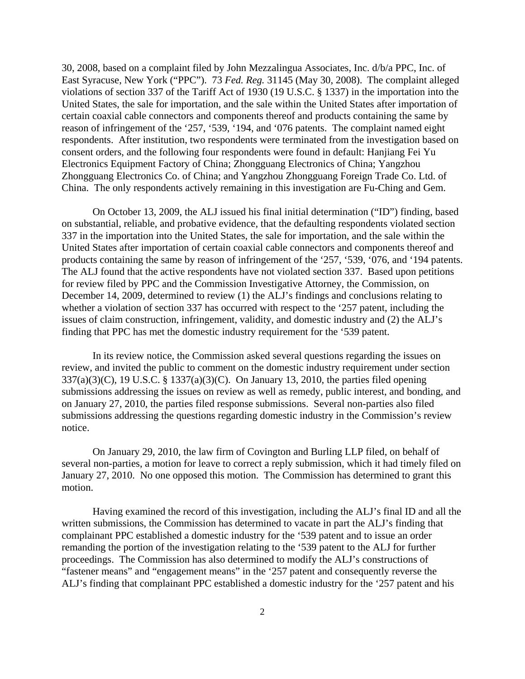30, 2008, based on a complaint filed by John Mezzalingua Associates, Inc. d/b/a PPC, Inc. of East Syracuse, New York ("PPC"). 73 *Fed. Reg.* 31145 (May 30, 2008). The complaint alleged violations of section 337 of the Tariff Act of 1930 (19 U.S.C. § 1337) in the importation into the United States, the sale for importation, and the sale within the United States after importation of certain coaxial cable connectors and components thereof and products containing the same by reason of infringement of the '257, '539, '194, and '076 patents. The complaint named eight respondents. After institution, two respondents were terminated from the investigation based on consent orders, and the following four respondents were found in default: Hanjiang Fei Yu Electronics Equipment Factory of China; Zhongguang Electronics of China; Yangzhou Zhongguang Electronics Co. of China; and Yangzhou Zhongguang Foreign Trade Co. Ltd. of China. The only respondents actively remaining in this investigation are Fu-Ching and Gem.

On October 13, 2009, the ALJ issued his final initial determination ("ID") finding, based on substantial, reliable, and probative evidence, that the defaulting respondents violated section 337 in the importation into the United States, the sale for importation, and the sale within the United States after importation of certain coaxial cable connectors and components thereof and products containing the same by reason of infringement of the '257, '539, '076, and '194 patents. The ALJ found that the active respondents have not violated section 337. Based upon petitions for review filed by PPC and the Commission Investigative Attorney, the Commission, on December 14, 2009, determined to review (1) the ALJ's findings and conclusions relating to whether a violation of section 337 has occurred with respect to the '257 patent, including the issues of claim construction, infringement, validity, and domestic industry and (2) the ALJ's finding that PPC has met the domestic industry requirement for the '539 patent.

In its review notice, the Commission asked several questions regarding the issues on review, and invited the public to comment on the domestic industry requirement under section 337(a)(3)(C), 19 U.S.C. § 1337(a)(3)(C). On January 13, 2010, the parties filed opening submissions addressing the issues on review as well as remedy, public interest, and bonding, and on January 27, 2010, the parties filed response submissions. Several non-parties also filed submissions addressing the questions regarding domestic industry in the Commission's review notice.

On January 29, 2010, the law firm of Covington and Burling LLP filed, on behalf of several non-parties, a motion for leave to correct a reply submission, which it had timely filed on January 27, 2010. No one opposed this motion. The Commission has determined to grant this motion.

Having examined the record of this investigation, including the ALJ's final ID and all the written submissions, the Commission has determined to vacate in part the ALJ's finding that complainant PPC established a domestic industry for the '539 patent and to issue an order remanding the portion of the investigation relating to the '539 patent to the ALJ for further proceedings. The Commission has also determined to modify the ALJ's constructions of "fastener means" and "engagement means" in the '257 patent and consequently reverse the ALJ's finding that complainant PPC established a domestic industry for the '257 patent and his